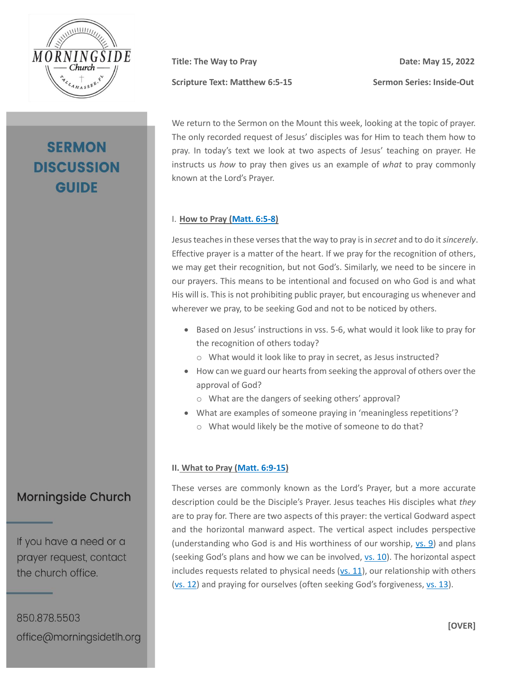

# **SERMON DISCUSSION GUIDE**

**Title:** The Way to Pray Date: May 15, 2022 **Scripture Text: Matthew 6:5-15 Sermon Series: Inside-Out** 

We return to the Sermon on the Mount this week, looking at the topic of prayer. The only recorded request of Jesus' disciples was for Him to teach them how to pray. In today's text we look at two aspects of Jesus' teaching on prayer. He instructs us *how* to pray then gives us an example of *what* to pray commonly known at the Lord's Prayer.

#### I. **How to Pray [\(Matt. 6:5-8\)](https://my.bible.com/bible/2692/MAT.6.5-8.nasb2020)**

Jesus teaches in these verses that the way to pray is in *secret* and to do it*sincerely*. Effective prayer is a matter of the heart. If we pray for the recognition of others, we may get their recognition, but not God's. Similarly, we need to be sincere in our prayers. This means to be intentional and focused on who God is and what His will is. This is not prohibiting public prayer, but encouraging us whenever and wherever we pray, to be seeking God and not to be noticed by others.

- Based on Jesus' instructions in vss. 5-6, what would it look like to pray for the recognition of others today?
	- o What would it look like to pray in secret, as Jesus instructed?
- How can we guard our hearts from seeking the approval of others over the approval of God?
	- o What are the dangers of seeking others' approval?
- What are examples of someone praying in 'meaningless repetitions'?
	- o What would likely be the motive of someone to do that?

#### **II. What to Pray [\(Matt. 6:9-15\)](https://my.bible.com/bible/2692/MAT.6.9-15.nasb2020)**

These verses are commonly known as the Lord's Prayer, but a more accurate description could be the Disciple's Prayer. Jesus teaches His disciples what *they* are to pray for. There are two aspects of this prayer: the vertical Godward aspect and the horizontal manward aspect. The vertical aspect includes perspective (understanding who God is and His worthiness of our worship, [vs. 9\)](https://my.bible.com/bible/2692/MAT.6.9.nasb2020) and plans (seeking God's plans and how we can be involved[, vs. 10\)](https://my.bible.com/bible/2692/MAT.6.10.nasb2020). The horizontal aspect includes requests related to physical needs [\(vs. 11\)](https://my.bible.com/bible/2692/MAT.6.11.nasb2020), our relationship with others [\(vs. 12\)](https://my.bible.com/bible/2692/MAT.6.12.nasb2020) and praying for ourselves (often seeking God's forgiveness, [vs. 13\)](https://my.bible.com/bible/2692/MAT.6.13.nasb2020).

## **Morningside Church**

If you have a need or a prayer request, contact the church office.

850.878.5503 office@morningsidetlh.org